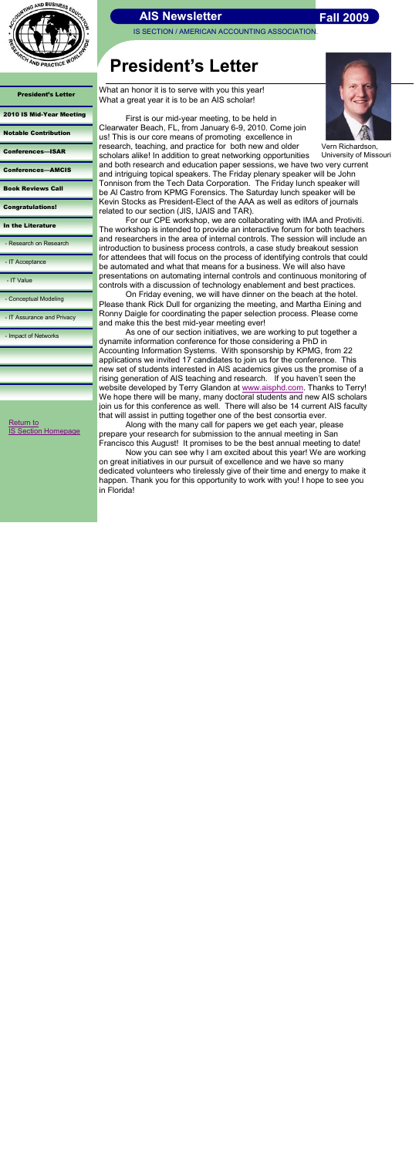

IS SECTION / AMERICAN ACCOUNTING ASSOCIATION

President's Letter

#### [2010 IS Mid-Year Meeting](#page-1-0)

#### [Notable Contribution](#page-2-0)

- [Conferences](#page-3-0)—ISAR
- [Conferences](#page-4-0)—AMCIS

[Book Reviews Call](#page-5-0)

[Congratulations!](#page-6-0)

[In the Literature](#page-7-0)

- [Research on Research](#page-8-0)

- [IT Acceptance](#page-9-0)

- [IT Value](#page-10-0)

[Conceptual Modeling](#page-11-0)

- [IT Assurance and Privacy](#page-12-0)

- [Impact of Networks](#page-13-0)

# **President's Letter**

What an honor it is to serve with you this year! What a great year it is to be an AIS scholar!



First is our mid-year meeting, to be held in Clearwater Beach, FL, from January 6-9, 2010. Come join us! This is our core means of promoting excellence in research, teaching, and practice for both new and older scholars alike! In addition to great networking opportunities and both research and education paper sessions, we have two very current and intriguing topical speakers. The Friday plenary speaker will be John Tonnison from the Tech Data Corporation. The Friday lunch speaker will

be Al Castro from KPMG Forensics. The Saturday lunch speaker will be Kevin Stocks as President-Elect of the AAA as well as editors of journals related to our section (JIS, IJAIS and TAR).

For our CPE workshop, we are collaborating with IMA and Protiviti. The workshop is intended to provide an interactive forum for both teachers and researchers in the area of internal controls. The session will include an introduction to business process controls, a case study breakout session for attendees that will focus on the process of identifying controls that could be automated and what that means for a business. We will also have presentations on automating internal controls and continuous monitoring of controls with a discussion of technology enablement and best practices.

[Return to](http://aaahq.org/infosys/index.html)  **[IS Section Homepage](http://aaahq.org/infosys/index.html)** 

<span id="page-0-0"></span>

On Friday evening, we will have dinner on the beach at the hotel. Please thank Rick Dull for organizing the meeting, and Martha Eining and Ronny Daigle for coordinating the paper selection process. Please come and make this the best mid-year meeting ever!

As one of our section initiatives, we are working to put together a dynamite information conference for those considering a PhD in Accounting Information Systems. With sponsorship by KPMG, from 22 applications we invited 17 candidates to join us for the conference. This new set of students interested in AIS academics gives us the promise of a rising generation of AIS teaching and research. If you haven't seen the website developed by Terry Glandon at [www.aisphd.com.](http://www.aisphd.com) Thanks to Terry! We hope there will be many, many doctoral students and new AIS scholars join us for this conference as well. There will also be 14 current AIS faculty that will assist in putting together one of the best consortia ever.

Along with the many call for papers we get each year, please prepare your research for submission to the annual meeting in San Francisco this August! It promises to be the best annual meeting to date!

Now you can see why I am excited about this year! We are working on great initiatives in our pursuit of excellence and we have so many dedicated volunteers who tirelessly give of their time and energy to make it happen. Thank you for this opportunity to work with you! I hope to see you in Florida!

Vern Richardson, University of Missouri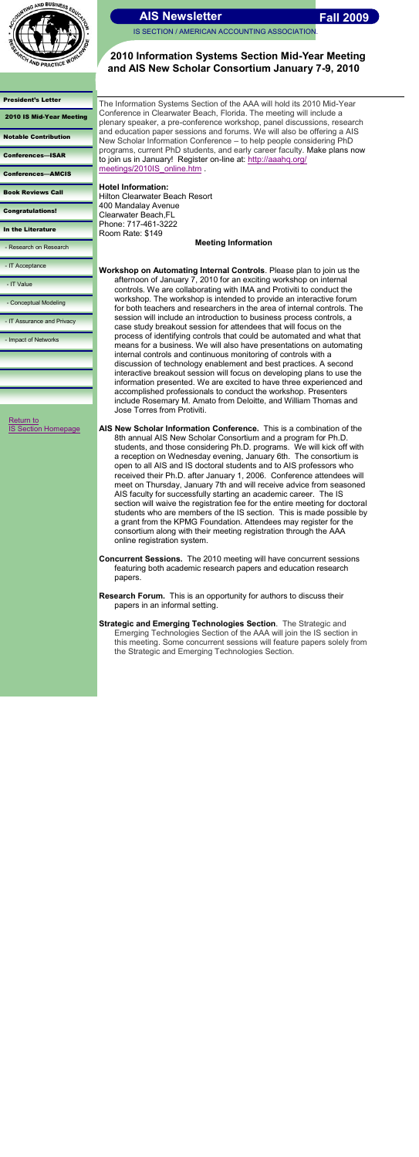

IS SECTION / AMERICAN ACCOUNTING ASSOCIATION

[President's Letter](#page-0-0) 

2010 IS Mid-Year Meeting

[Notable Contribution](#page-2-0)

[Conferences](#page-3-0)—ISAR

[Conferences](#page-4-0)—AMCIS

[Book Reviews Call](#page-5-0)

[Congratulations!](#page-6-0)

[In the Literature](#page-7-0)

- [Research on Research](#page-8-0)

- [IT Acceptance](#page-9-0)

- [IT Value](#page-10-0)

- [Conceptual Modeling](#page-11-0)

- [IT Assurance and Privacy](#page-12-0)

plenary speaker, a pre-conference workshop, panel discussions, research and education paper sessions and forums. We will also be offering a AIS New Scholar Information Conference – to help people considering PhD programs, current PhD students, and early career faculty. Make plans now to join us in January! Register on-line at: [http://aaahq.org/](http://aaahq.org/meetings/2010IS_online.htm) [meetings/2010IS\\_online.htm](http://aaahq.org/meetings/2010IS_online.htm)

- [Impact of Networks](#page-13-0)

# **2010 Information Systems Section Mid-Year Meeting and AIS New Scholar Consortium January 7-9, 2010**

[Return to](http://aaahq.org/infosys/index.html)  [IS Section Homepage](http://aaahq.org/infosys/index.html) The Information Systems Section of the AAA will hold its 2010 Mid-Year Conference in Clearwater Beach, Florida. The meeting will include a

**Hotel Information:** Hilton Clearwater Beach Resort 400 Mandalay Avenue Clearwater Beach,FL Phone: 717-461-3222 Room Rate: \$149

**Meeting Information**

**Workshop on Automating Internal Controls**. Please plan to join us the afternoon of January 7, 2010 for an exciting workshop on internal controls. We are collaborating with IMA and Protiviti to conduct the workshop. The workshop is intended to provide an interactive forum for both teachers and researchers in the area of internal controls. The session will include an introduction to business process controls, a case study breakout session for attendees that will focus on the process of identifying controls that could be automated and what that means for a business. We will also have presentations on automating internal controls and continuous monitoring of controls with a discussion of technology enablement and best practices. A second interactive breakout session will focus on developing plans to use the information presented. We are excited to have three experienced and accomplished professionals to conduct the workshop. Presenters include Rosemary M. Amato from Deloitte, and William Thomas and Jose Torres from Protiviti.

**AIS New Scholar Information Conference.** This is a combination of the 8th annual AIS New Scholar Consortium and a program for Ph.D. students, and those considering Ph.D. programs. We will kick off with a reception on Wednesday evening, January 6th. The consortium is open to all AIS and IS doctoral students and to AIS professors who received their Ph.D. after January 1, 2006. Conference attendees will meet on Thursday, January 7th and will receive advice from seasoned AIS faculty for successfully starting an academic career. The IS section will waive the registration fee for the entire meeting for doctoral students who are members of the IS section. This is made possible by a grant from the KPMG Foundation. Attendees may register for the consortium along with their meeting registration through the AAA online registration system.

**Concurrent Sessions.** The 2010 meeting will have concurrent sessions featuring both academic research papers and education research papers.

- **Research Forum.** This is an opportunity for authors to discuss their papers in an informal setting.
- **Strategic and Emerging Technologies Section**. The Strategic and Emerging Technologies Section of the AAA will join the IS section in this meeting. Some concurrent sessions will feature papers solely from the Strategic and Emerging Technologies Section.

<span id="page-1-0"></span>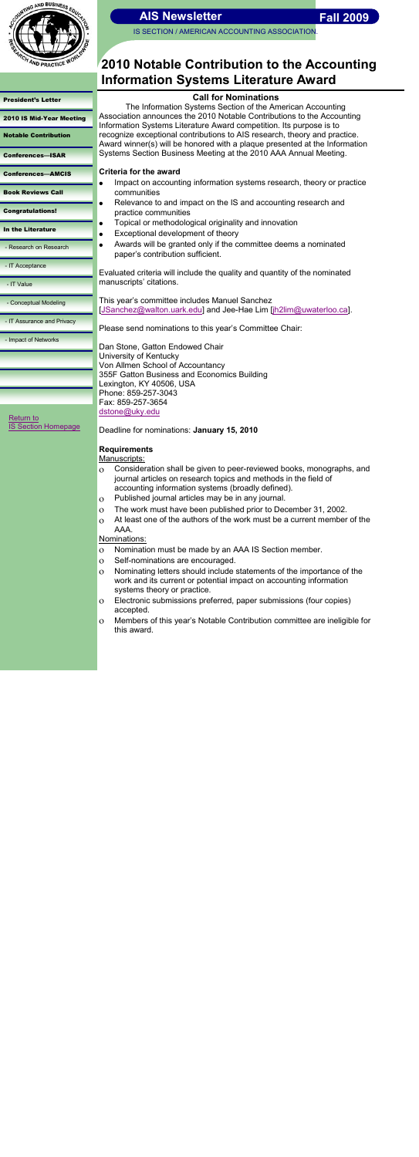

IS SECTION / AMERICAN ACCOUNTING ASSOCIATION

# [President's Letter](#page-0-0)  [2010 IS Mid-Year Meeting](#page-1-0) Notable Contribution [Conferences](#page-3-0)—ISAR

[Conferences](#page-4-0)—AMCIS

[Book Reviews Call](#page-5-0)

[Congratulations!](#page-6-0)

[In the Literature](#page-7-0)

- [Research on Research](#page-8-0)

- [IT Acceptance](#page-9-0)

- [IT Value](#page-10-0)

- [Conceptual Modeling](#page-11-0)

- [IT Assurance and Privacy](#page-12-0)

- [Impact of Networks](#page-13-0)

# **2010 Notable Contribution to the Accounting Information Systems Literature Award**

# **Call for Nominations**

The Information Systems Section of the American Accounting Association announces the 2010 Notable Contributions to the Accounting Information Systems Literature Award competition. Its purpose is to recognize exceptional contributions to AIS research, theory and practice. Award winner(s) will be honored with a plaque presented at the Information Systems Section Business Meeting at the 2010 AAA Annual Meeting.

# **Criteria for the award**

 $\bullet$ 

 $\bullet$ 

- Impact on accounting information systems research, theory or practice  $\bullet$ communities
	- Relevance to and impact on the IS and accounting research and practice communities
	- Topical or methodological originality and innovation
- Exceptional development of theory  $\bullet$ 
	- Awards will be granted only if the committee deems a nominated paper's contribution sufficient.

Evaluated criteria will include the quality and quantity of the nominated manuscripts' citations.

[Return to](http://aaahq.org/infosys/index.html)  **[IS Section Homepage](http://aaahq.org/infosys/index.html)**  This year's committee includes Manuel Sanchez [[JSanchez@walton.uark.edu\]](mailto:JSanchez@walton.uark.edu) and Jee-Hae Lim [\[jh2lim@uwaterloo.ca\]](mailto:jh2lim@uwaterloo.ca).

Please send nominations to this year's Committee Chair:

Dan Stone, Gatton Endowed Chair University of Kentucky Von Allmen School of Accountancy 355F Gatton Business and Economics Building Lexington, KY 40506, USA Phone: 859-257-3043 Fax: 859-257-3654 [dstone@uky.edu](mailto:dstone@uky.edu)

Deadline for nominations: **January 15, 2010**

# **Requirements**

## Manuscripts:

- Consideration shall be given to peer-reviewed books, monographs, and  $\mathbf{o}$ journal articles on research topics and methods in the field of accounting information systems (broadly defined).
- Published journal articles may be in any journal.  $\overline{O}$
- The work must have been published prior to December 31, 2002.  $\mathbf{o}$
- At least one of the authors of the work must be a current member of the  $\Omega$ AAA.

## Nominations:

- Nomination must be made by an AAA IS Section member.  $\overline{O}$
- Self-nominations are encouraged.  $\Omega$
- <span id="page-2-0"></span>Nominating letters should include statements of the importance of the  $\Omega$ work and its current or potential impact on accounting information systems theory or practice.
- Electronic submissions preferred, paper submissions (four copies)  $\mathbf{O}$ accepted.
- Members of this year's Notable Contribution committee are ineligible for  $\mathbf{O}$ this award.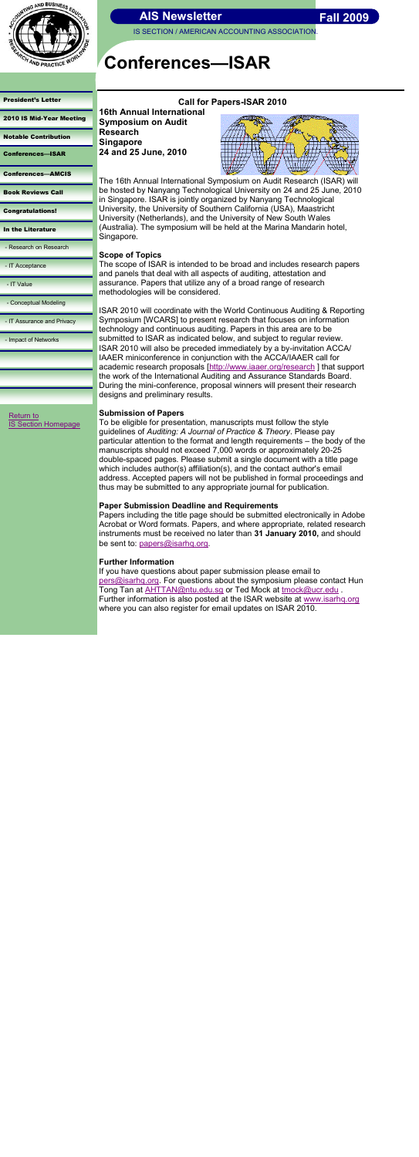

IS SECTION / AMERICAN ACCOUNTING ASSOCIATION

#### [President's Letter](#page-0-0)

|  |  | 2010 IS Mid-Year Meeting |
|--|--|--------------------------|
|  |  |                          |

[Notable Contribution](#page-2-0)

Conferences—ISAR

[Conferences](#page-4-0)—AMCIS

[Book Reviews Call](#page-5-0)

[Congratulations!](#page-6-0)

[In the Literature](#page-7-0)

- [Research on Research](#page-8-0)

- [IT Acceptance](#page-9-0)

- [IT Value](#page-10-0)

- [Conceptual Modeling](#page-11-0)

- [IT Assurance and Privacy](#page-12-0)

- [Impact of Networks](#page-13-0)

# **Conferences—ISAR**

## **Call for Papers-ISAR 2010**



**16th Annual International Symposium on Audit** 

**Research Singapore**

**24 and 25 June, 2010**

The 16th Annual International Symposium on Audit Research (ISAR) will be hosted by Nanyang Technological University on 24 and 25 June, 2010 in Singapore. ISAR is jointly organized by Nanyang Technological University, the University of Southern California (USA), Maastricht University (Netherlands), and the University of New South Wales (Australia). The symposium will be held at the Marina Mandarin hotel, Singapore.

## **Scope of Topics**

The scope of ISAR is intended to be broad and includes research papers and panels that deal with all aspects of auditing, attestation and assurance. Papers that utilize any of a broad range of research methodologies will be considered.

ISAR 2010 will coordinate with the World Continuous Auditing & Reporting Symposium [WCARS] to present research that focuses on information technology and continuous auditing. Papers in this area are to be submitted to ISAR as indicated below, and subject to regular review. ISAR 2010 will also be preceded immediately by a by-invitation ACCA/ IAAER miniconference in conjunction with the ACCA/IAAER call for academic research proposals [<http://www.iaaer.org/research>] that support the work of the International Auditing and Assurance Standards Board. During the mini-conference, proposal winners will present their research designs and preliminary results.

[Return to](http://aaahq.org/infosys/index.html)  **[IS Section Homepage](http://aaahq.org/infosys/index.html)** 

## **Submission of Papers**

To be eligible for presentation, manuscripts must follow the style guidelines of *Auditing: A Journal of Practice & Theory*. Please pay particular attention to the format and length requirements – the body of the manuscripts should not exceed 7,000 words or approximately 20-25 double-spaced pages. Please submit a single document with a title page which includes author(s) affiliation(s), and the contact author's email address. Accepted papers will not be published in formal proceedings and thus may be submitted to any appropriate journal for publication.

## **Paper Submission Deadline and Requirements**

Papers including the title page should be submitted electronically in Adobe Acrobat or Word formats. Papers, and where appropriate, related research instruments must be received no later than **31 January 2010,** and should be sent to: [papers@isarhq.org.](mailto:papers@isarhq.org)

## <span id="page-3-0"></span>**Further Information**

If you have questions about paper submission please email to [pers@isarhq.org.](mailto:pers@isarhq.org) For questions about the symposium please contact Hun Tong Tan at **AHTTAN@ntu.edu.sg or Ted Mock at [tmock@ucr.edu](mailto:tmock@ucr.edu)**. Further information is also posted at the ISAR website at [www.isarhq.org](http://www.isarhq.org) where you can also register for email updates on ISAR 2010.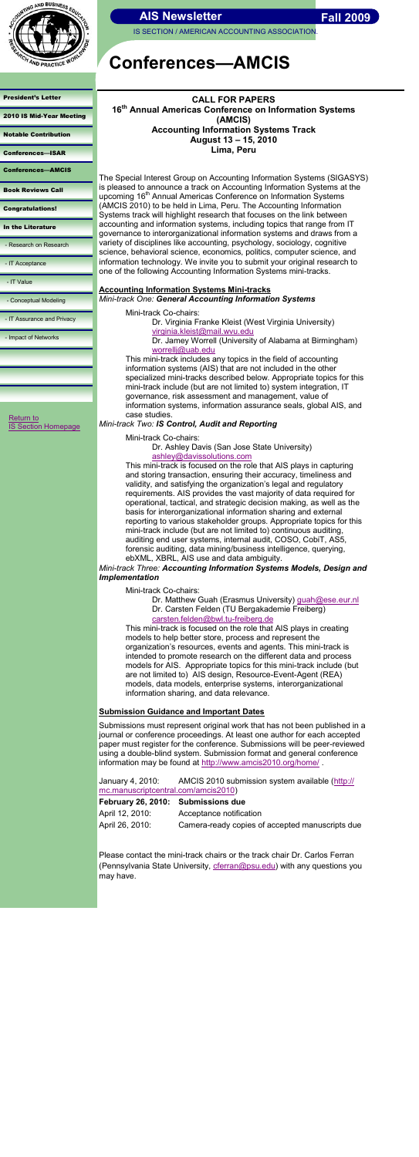

IS SECTION / AMERICAN ACCOUNTING ASSOCIATION

[President's Letter](#page-0-0) 

[2010 IS Mid-Year Meeting](#page-1-0)

[Notable Contribution](#page-2-0)

[Conferences](#page-3-0)—ISAR

Conferences—AMCIS

[Book Reviews Call](#page-5-0)

[Return to](http://aaahq.org/infosys/index.html)  **[IS Section Homepage](http://aaahq.org/infosys/index.html)** 

[Congratulations!](#page-6-0)

[In the Literature](#page-7-0)

- [Research on Research](#page-8-0)

- [IT Acceptance](#page-9-0)

- [IT Value](#page-10-0)

- [Conceptual Modeling](#page-11-0)

- [IT Assurance and Privacy](#page-12-0)

- [Impact of Networks](#page-13-0)

# **Conferences—AMCIS**

## **CALL FOR PAPERS 16th Annual Americas Conference on Information Systems (AMCIS) Accounting Information Systems Track August 13 – 15, 2010 Lima, Peru**

The Special Interest Group on Accounting Information Systems (SIGASYS) is pleased to announce a track on Accounting Information Systems at the upcoming 16<sup>th</sup> Annual Americas Conference on Information Systems (AMCIS 2010) to be held in Lima, Peru. The Accounting Information Systems track will highlight research that focuses on the link between accounting and information systems, including topics that range from IT governance to interorganizational information systems and draws from a variety of disciplines like accounting, psychology, sociology, cognitive science, behavioral science, economics, politics, computer science, and information technology. We invite you to submit your original research to one of the following Accounting Information Systems mini-tracks.

#### **Accounting Information Systems Mini-tracks** *Mini-track One: General Accounting Information Systems*

Mini-track Co-chairs:

Dr. Virginia Franke Kleist (West Virginia University) [virginia.kleist@mail.wvu.edu](mailto:Virginia.kleist@mail.wvu.edu)

Dr. Matthew Guah (Erasmus University) [guah@ese.eur.nl](mailto:guah@ese.eur.nl) Dr. Carsten Felden (TU Bergakademie Freiberg) [carsten.felden@bwl.tu-freiberg.de](mailto:carsten.felden@bwl.tu-freiberg.de)

Dr. Jamey Worrell (University of Alabama at Birmingham) [worrellj@uab.edu](mailto:worrellj@uab.edu)

This mini-track includes any topics in the field of accounting information systems (AIS) that are not included in the other specialized mini-tracks described below. Appropriate topics for this mini-track include (but are not limited to) system integration, IT governance, risk assessment and management, value of information systems, information assurance seals, global AIS, and case studies.

## *Mini-track Two: IS Control, Audit and Reporting*

January 4, 2010: AMCIS 2010 submission system available ([http://](http://mc.manuscriptcentral.com/amcis2010) [mc.manuscriptcentral.com/amcis2010\)](http://mc.manuscriptcentral.com/amcis2010)

Mini-track Co-chairs:

Dr. Ashley Davis (San Jose State University) [ashley@davissolutions.com](mailto:ashley@davissolutions.com)

This mini-track is focused on the role that AIS plays in capturing and storing transaction, ensuring their accuracy, timeliness and validity, and satisfying the organization's legal and regulatory requirements. AIS provides the vast majority of data required for operational, tactical, and strategic decision making, as well as the basis for interorganizational information sharing and external reporting to various stakeholder groups. Appropriate topics for this mini-track include (but are not limited to) continuous auditing, auditing end user systems, internal audit, COSO, CobiT, AS5, forensic auditing, data mining/business intelligence, querying, ebXML, XBRL, AIS use and data ambiguity.

<span id="page-4-0"></span>*Mini-track Three: Accounting Information Systems Models, Design and Implementation*

Mini-track Co-chairs:

This mini-track is focused on the role that AIS plays in creating models to help better store, process and represent the organization's resources, events and agents. This mini-track is intended to promote research on the different data and process models for AIS. Appropriate topics for this mini-track include (but are not limited to) AIS design, Resource-Event-Agent (REA) models, data models, enterprise systems, interorganizational information sharing, and data relevance.

## **Submission Guidance and Important Dates**

Submissions must represent original work that has not been published in a journal or conference proceedings. At least one author for each accepted paper must register for the conference. Submissions will be peer-reviewed using a double-blind system. Submission format and general conference information may be found at<http://www.amcis2010.org/home/> .

## **February 26, 2010: Submissions due**

April 12, 2010: Acceptance notification April 26, 2010: Camera-ready copies of accepted manuscripts due

Please contact the mini-track chairs or the track chair Dr. Carlos Ferran (Pennsylvania State University, [cferran@psu.edu\)](mailto:cferran@psu.edu) with any questions you may have.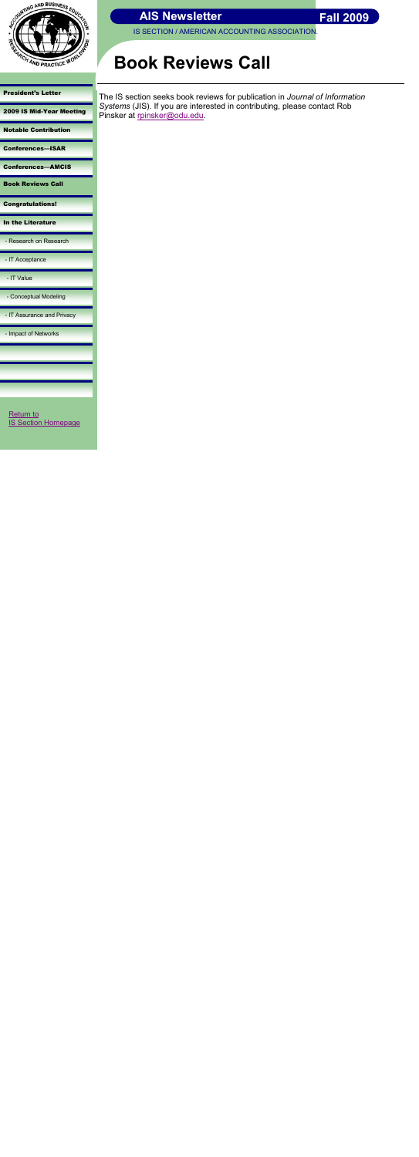

IS SECTION / AMERICAN ACCOUNTING ASSOCIATION.

[President's Letter](#page-0-0) 

[2009 IS Mid-Year Meeting](#page-1-0)

[Notable Contribution](#page-2-0)

[Conferences](#page-3-0)—ISAR

[Conferences](#page-4-0)—AMCIS Book Reviews Call

The IS section seeks book reviews for publication in *Journal of Information Systems* (JIS). If you are interested in contributing, please contact Rob Pinsker at [rpinsker@odu.edu.](mailto:rpinsker@odu.edu)

[Congratulations!](#page-6-0)

[In the Literature](#page-7-0)

- [Research on Research](#page-8-0)

- [IT Acceptance](#page-9-0)

- [IT Value](#page-10-0)

- [Conceptual Modeling](#page-11-0)

Return to [IS Section Homepage](http://aaahq.org/infosys/index.html)

<span id="page-5-0"></span>

- [IT Assurance and Privacy](#page-12-0)

- [Impact of Networks](#page-13-0)

# **Book Reviews Call**

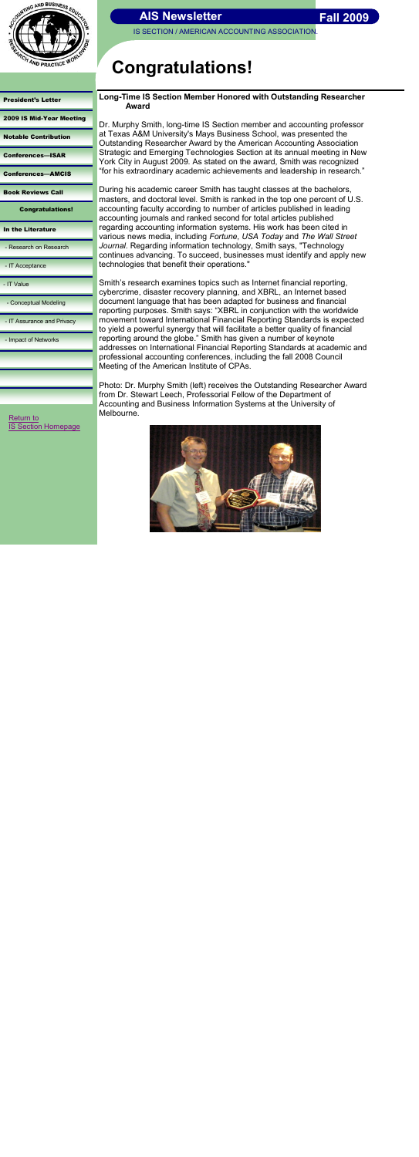

IS SECTION / AMERICAN ACCOUNTING ASSOCIATION

[President's Letter](#page-0-0) 

[2009 IS Mid-Year Meeting](#page-1-0)

[Notable Contribution](#page-2-0)

[Conferences](#page-3-0)—ISAR

[Conferences](#page-4-0)—AMCIS

[Book Reviews Call](#page-5-0)

Congratulations!

[In the Literature](#page-7-0)

Dr. Murphy Smith, long-time IS Section member and accounting professor at Texas A&M University's Mays Business School, was presented the Outstanding Researcher Award by the American Accounting Association Strategic and Emerging Technologies Section at its annual meeting in New York City in August 2009. As stated on the award, Smith was recognized "for his extraordinary academic achievements and leadership in research."

- [Research on Research](#page-8-0)

- [IT Acceptance](#page-9-0)

- [IT Value](#page-10-0)

- [Conceptual Modeling](#page-11-0)

- [IT Assurance and Privacy](#page-12-0)

- [Impact of Networks](#page-13-0)

[Return to](http://aaahq.org/infosys/index.html) **Return to COVID-2018** Melbourne. **[IS Section Homepage](http://aaahq.org/infosys/index.html)** 

<span id="page-6-0"></span>

# **Congratulations!**

## **Long-Time IS Section Member Honored with Outstanding Researcher Award**

During his academic career Smith has taught classes at the bachelors, masters, and doctoral level. Smith is ranked in the top one percent of U.S. accounting faculty according to number of articles published in leading accounting journals and ranked second for total articles published regarding accounting information systems. His work has been cited in various news media, including *Fortune*, *USA Today* and *The Wall Street Journal*. Regarding information technology, Smith says, "Technology continues advancing. To succeed, businesses must identify and apply new technologies that benefit their operations."

Smith's research examines topics such as Internet financial reporting, cybercrime, disaster recovery planning, and XBRL, an Internet based document language that has been adapted for business and financial reporting purposes. Smith says: "XBRL in conjunction with the worldwide movement toward International Financial Reporting Standards is expected to yield a powerful synergy that will facilitate a better quality of financial reporting around the globe." Smith has given a number of keynote addresses on International Financial Reporting Standards at academic and professional accounting conferences, including the fall 2008 Council Meeting of the American Institute of CPAs.

Photo: Dr. Murphy Smith (left) receives the Outstanding Researcher Award from Dr. Stewart Leech, Professorial Fellow of the Department of Accounting and Business Information Systems at the University of

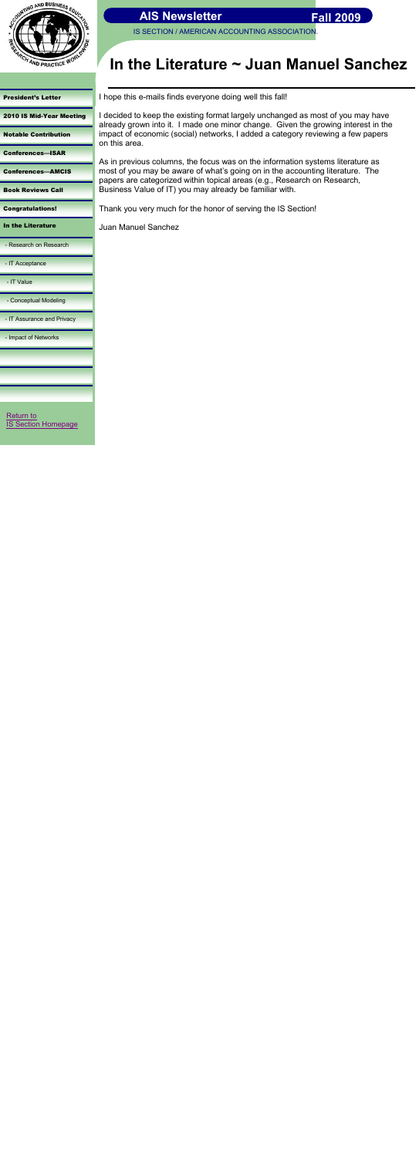

[President's Letter](#page-0-0) 

[2010 IS Mid-Year Meeting](#page-1-0)

[Notable Contribution](#page-2-0)

[Conferences](#page-3-0)—ISAR

[Conferences](#page-4-0)—AMCIS

[Book Reviews Call](#page-5-0)

[Congratulations!](#page-6-0)

[Return to](http://aaahq.org/infosys/index.html)  **Section Homepage** 

In the Literature

- [Research on Research](#page-8-0)

- [IT Acceptance](#page-9-0)

- [IT Value](#page-10-0)

- [Conceptual Modeling](#page-11-0)

- [IT Assurance and Privacy](#page-12-0)

- [Impact of Networks](#page-13-0)

# **In the Literature ~ Juan Manuel Sanchez**

I hope this e-mails finds everyone doing well this fall!

I decided to keep the existing format largely unchanged as most of you may have already grown into it. I made one minor change. Given the growing interest in the impact of economic (social) networks, I added a category reviewing a few papers on this area.

As in previous columns, the focus was on the information systems literature as most of you may be aware of what's going on in the accounting literature. The papers are categorized within topical areas (e.g., Research on Research, Business Value of IT) you may already be familiar with.

Thank you very much for the honor of serving the IS Section!

Juan Manuel Sanchez

<span id="page-7-0"></span>

 **Fall 2009**

IS SECTION / AMERICAN ACCOUNTING ASSOCIATION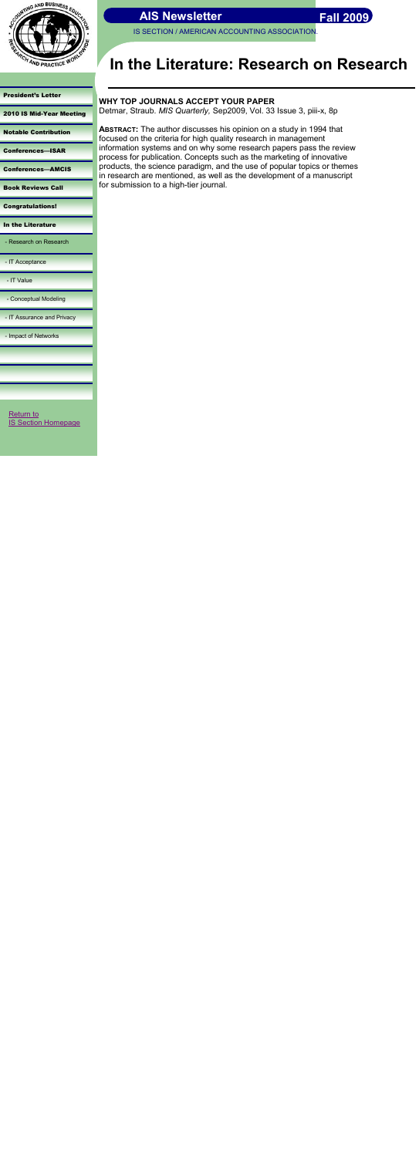

IS SECTION / AMERICAN ACCOUNTING ASSOCIATION

[President's Letter](#page-0-0) 

[2010 IS Mid-Year Meeting](#page-1-0)

[Notable Contribution](#page-2-0)

[Conferences](#page-3-0)—ISAR

[Conferences](#page-4-0)—AMCIS

[Book Reviews Call](#page-5-0)

[Congratulations!](#page-6-0)

[In the Literature](#page-7-0)

- Research on Research

- [IT Acceptance](#page-9-0)

- [IT Value](#page-10-0)

- [Conceptual Modeling](#page-11-0)

- [IT Assurance and Privacy](#page-12-0)

- [Impact of Networks](#page-13-0)

# **In the Literature: Research on Research**

# **WHY TOP JOURNALS ACCEPT YOUR PAPER**

Detmar, Straub. *MIS Quarterly,* Sep2009, Vol. 33 Issue 3, piii-x, 8p

**ABSTRACT:** The author discusses his opinion on a study in 1994 that focused on the criteria for high quality research in management information systems and on why some research papers pass the review process for publication. Concepts such as the marketing of innovative products, the science paradigm, and the use of popular topics or themes in research are mentioned, as well as the development of a manuscript for submission to a high-tier journal.

[Return to](http://aaahq.org/infosys/index.html)  [IS Section Homepage](http://aaahq.org/infosys/index.html)

<span id="page-8-0"></span>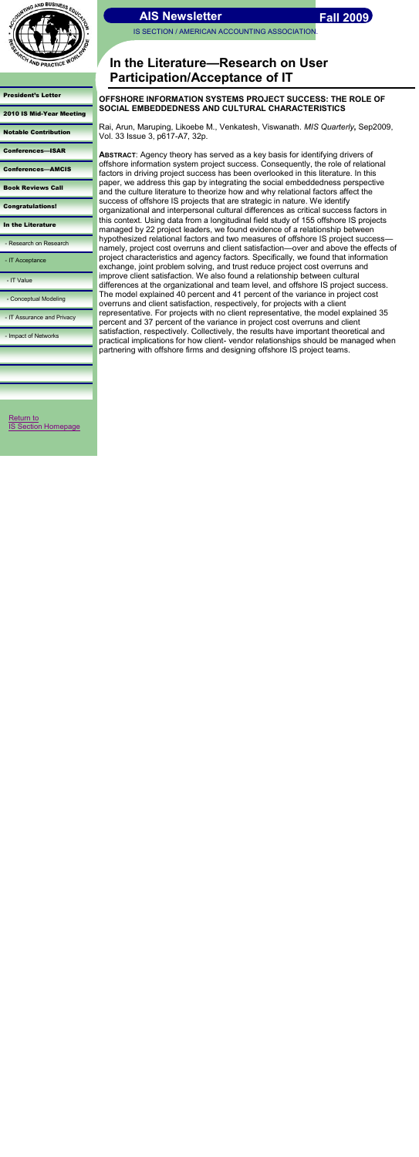IS SECTION / AMERICAN ACCOUNTING ASSOCIATION



[President's Letter](#page-0-0) 

[2010 IS Mid-Year Meeting](#page-1-0)

[Notable Contribution](#page-2-0)

[Conferences](#page-3-0)—ISAR

[Conferences](#page-4-0)—AMCIS

[Book Reviews Call](#page-5-0)

[Congratulations!](#page-6-0)

[In the Literature](#page-7-0)

- [Research on Research](#page-8-0)

- IT Acceptance

- [IT Value](#page-10-0)

- [Conceptual Modeling](#page-11-0)

- [IT Assurance and Privacy](#page-12-0)

- [Impact of Networks](#page-13-0)

# **In the Literature—Research on User Participation/Acceptance of IT**

# **OFFSHORE INFORMATION SYSTEMS PROJECT SUCCESS: THE ROLE OF SOCIAL EMBEDDEDNESS AND CULTURAL CHARACTERISTICS**

Rai, Arun, Maruping, Likoebe M., Venkatesh, Viswanath. *MIS Quarterly***,** Sep2009, Vol. 33 Issue 3, p617-A7, 32p.

[Return to](http://aaahq.org/infosys/index.html)  **[IS Section Homepage](http://aaahq.org/infosys/index.html)**  **ABSTRACT**: Agency theory has served as a key basis for identifying drivers of offshore information system project success. Consequently, the role of relational factors in driving project success has been overlooked in this literature. In this paper, we address this gap by integrating the social embeddedness perspective and the culture literature to theorize how and why relational factors affect the success of offshore IS projects that are strategic in nature. We identify organizational and interpersonal cultural differences as critical success factors in this context. Using data from a longitudinal field study of 155 offshore IS projects managed by 22 project leaders, we found evidence of a relationship between hypothesized relational factors and two measures of offshore IS project success namely, project cost overruns and client satisfaction—over and above the effects of project characteristics and agency factors. Specifically, we found that information exchange, joint problem solving, and trust reduce project cost overruns and improve client satisfaction. We also found a relationship between cultural differences at the organizational and team level, and offshore IS project success. The model explained 40 percent and 41 percent of the variance in project cost overruns and client satisfaction, respectively, for projects with a client representative. For projects with no client representative, the model explained 35 percent and 37 percent of the variance in project cost overruns and client satisfaction, respectively. Collectively, the results have important theoretical and practical implications for how client- vendor relationships should be managed when partnering with offshore firms and designing offshore IS project teams.

<span id="page-9-0"></span>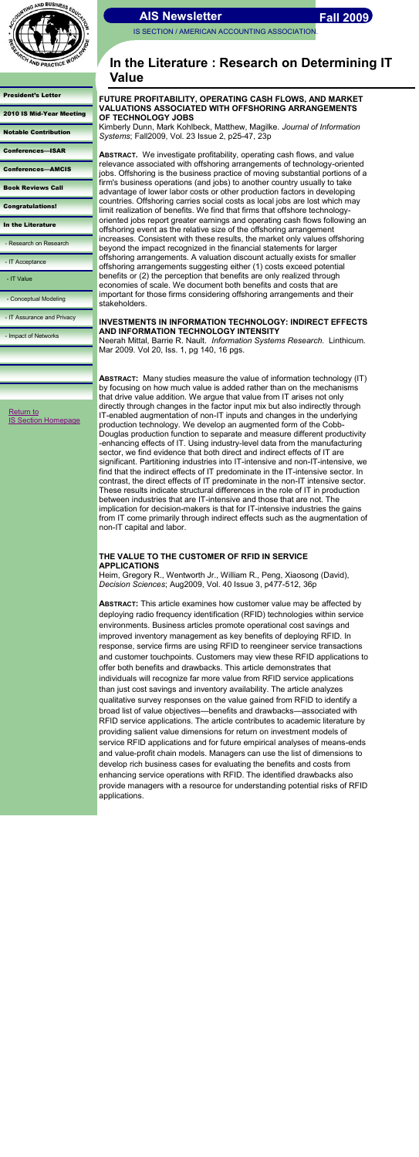IS SECTION / AMERICAN ACCOUNTING ASSOCIATION



[President's Letter](#page-0-0) 

| <b>2010 IS Mid-Year Meeting</b> |  |
|---------------------------------|--|
|---------------------------------|--|

[Notable Contribution](#page-2-0)

[Conferences](#page-3-0)—ISAR

[Conferences](#page-4-0)—AMCIS

[Book Reviews Call](#page-5-0)

[Congratulations!](#page-6-0)

[In the Literature](#page-7-0)

- [Research on Research](#page-8-0)

- [IT Acceptance](#page-9-0)

- IT Value

- [Conceptual Modeling](#page-11-0)

- [IT Assurance and Privacy](#page-12-0)

- [Impact of Networks](#page-13-0)

# **In the Literature : Research on Determining IT Value**

### **FUTURE PROFITABILITY, OPERATING CASH FLOWS, AND MARKET VALUATIONS ASSOCIATED WITH OFFSHORING ARRANGEMENTS OF TECHNOLOGY JOBS**

Kimberly Dunn, Mark Kohlbeck, Matthew, Magilke. *Journal of Information Systems*; Fall2009, Vol. 23 Issue 2, p25-47, 23p

**ABSTRACT.** We investigate profitability, operating cash flows, and value relevance associated with offshoring arrangements of technology-oriented jobs. Offshoring is the business practice of moving substantial portions of a firm's business operations (and jobs) to another country usually to take advantage of lower labor costs or other production factors in developing countries. Offshoring carries social costs as local jobs are lost which may limit realization of benefits. We find that firms that offshore technologyoriented jobs report greater earnings and operating cash flows following an offshoring event as the relative size of the offshoring arrangement increases. Consistent with these results, the market only values offshoring beyond the impact recognized in the financial statements for larger offshoring arrangements. A valuation discount actually exists for smaller offshoring arrangements suggesting either (1) costs exceed potential benefits or (2) the perception that benefits are only realized through economies of scale. We document both benefits and costs that are important for those firms considering offshoring arrangements and their stakeholders.

#### **INVESTMENTS IN INFORMATION TECHNOLOGY: INDIRECT EFFECTS AND INFORMATION TECHNOLOGY INTENSITY**

Neerah Mittal, Barrie R. Nault. *Information Systems Research*. Linthicum. Mar 2009. Vol 20, Iss. 1, pg 140, 16 pgs.

[Return to](http://aaahq.org/infosys/index.html)  **[IS Section Homepage](http://aaahq.org/infosys/index.html)**  **ABSTRACT:** Many studies measure the value of information technology (IT) by focusing on how much value is added rather than on the mechanisms that drive value addition. We argue that value from IT arises not only directly through changes in the factor input mix but also indirectly through IT-enabled augmentation of non-IT inputs and changes in the underlying production technology. We develop an augmented form of the Cobb-Douglas production function to separate and measure different productivity -enhancing effects of IT. Using industry-level data from the manufacturing sector, we find evidence that both direct and indirect effects of IT are significant. Partitioning industries into IT-intensive and non-IT-intensive, we find that the indirect effects of IT predominate in the IT-intensive sector. In contrast, the direct effects of IT predominate in the non-IT intensive sector. These results indicate structural differences in the role of IT in production between industries that are IT-intensive and those that are not. The implication for decision-makers is that for IT-intensive industries the gains from IT come primarily through indirect effects such as the augmentation of non-IT capital and labor.

## **THE VALUE TO THE CUSTOMER OF RFID IN SERVICE APPLICATIONS**

<span id="page-10-0"></span>Heim, Gregory R., Wentworth Jr., William R., Peng, Xiaosong (David), *Decision Sciences*; Aug2009, Vol. 40 Issue 3, p477-512, 36p

**ABSTRACT:** This article examines how customer value may be affected by deploying radio frequency identification (RFID) technologies within service environments. Business articles promote operational cost savings and improved inventory management as key benefits of deploying RFID. In response, service firms are using RFID to reengineer service transactions and customer touchpoints. Customers may view these RFID applications to offer both benefits and drawbacks. This article demonstrates that individuals will recognize far more value from RFID service applications than just cost savings and inventory availability. The article analyzes qualitative survey responses on the value gained from RFID to identify a broad list of value objectives—benefits and drawbacks—associated with RFID service applications. The article contributes to academic literature by providing salient value dimensions for return on investment models of service RFID applications and for future empirical analyses of means-ends and value-profit chain models. Managers can use the list of dimensions to develop rich business cases for evaluating the benefits and costs from enhancing service operations with RFID. The identified drawbacks also provide managers with a resource for understanding potential risks of RFID applications.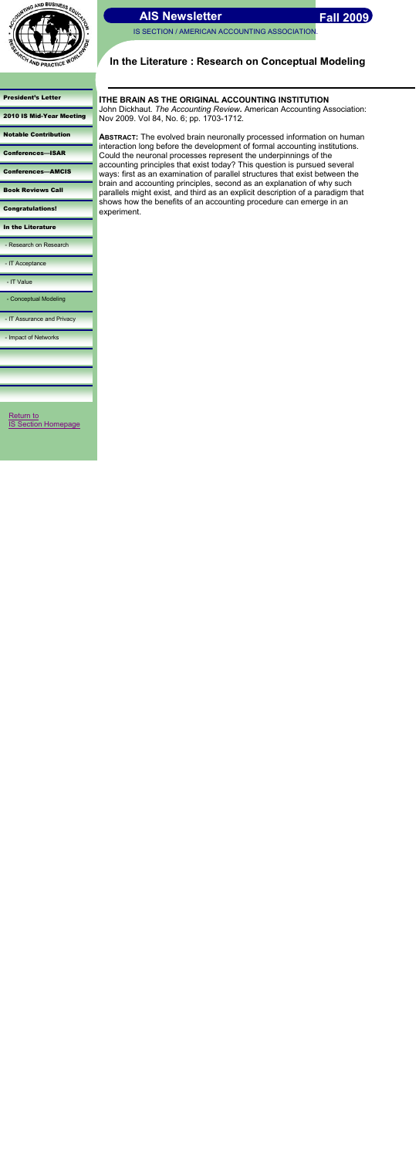

IS SECTION / AMERICAN ACCOUNTING ASSOCIATION.

[President's Letter](#page-0-0) 

[2010 IS Mid-Year Meeting](#page-1-0)

[Notable Contribution](#page-2-0)

[Conferences](#page-3-0)—ISAR

[Conferences](#page-4-0)—AMCIS

[Book Reviews Call](#page-5-0)

[Congratulations!](#page-6-0)

[In the Literature](#page-7-0)

- [Research on Research](#page-8-0)

- [IT Acceptance](#page-9-0)

- [IT Value](#page-10-0)

- Conceptual Modeling

- [IT Assurance and Privacy](#page-12-0)

- [Impact of Networks](#page-13-0)

# **In the Literature : Research on Conceptual Modeling**

## **ITHE BRAIN AS THE ORIGINAL ACCOUNTING INSTITUTION**

John Dickhaut. *The Accounting Review.* American Accounting Association: Nov 2009. Vol 84, No. 6; pp. 1703-1712.

[Return to](http://aaahq.org/infosys/index.html)  **[IS Section Homepage](http://aaahq.org/infosys/index.html)**  **ABSTRACT:** The evolved brain neuronally processed information on human interaction long before the development of formal accounting institutions. Could the neuronal processes represent the underpinnings of the accounting principles that exist today? This question is pursued several ways: first as an examination of parallel structures that exist between the brain and accounting principles, second as an explanation of why such parallels might exist, and third as an explicit description of a paradigm that shows how the benefits of an accounting procedure can emerge in an experiment.

<span id="page-11-0"></span>

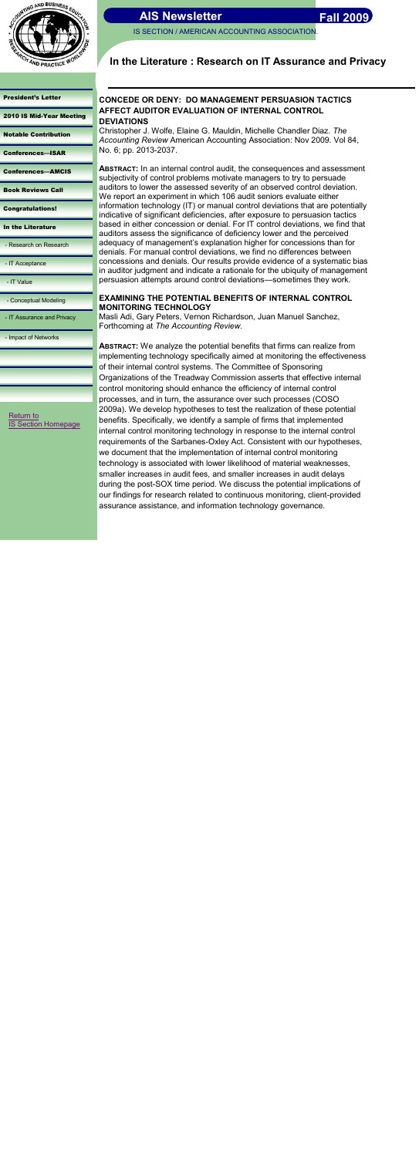IS SECTION / AMERICAN ACCOUNTING ASSOCIATION.



## [President's Letter](#page-0-0)

[2010 IS Mid-Year Meeting](#page-1-0)

[Notable Contribution](#page-2-0)

[Conferences](#page-3-0)—ISAR

[Conferences](#page-4-0)—AMCIS

[Book Reviews Call](#page-5-0)

[Congratulations!](#page-6-0)

[In the Literature](#page-7-0)

- [Research on Research](#page-8-0)

- [IT Acceptance](#page-9-0)

- [IT Value](#page-10-0)

- [Conceptual Modeling](#page-11-0)

- IT Assurance and Privacy

- [Impact of Networks](#page-13-0)

# **In the Literature : Research on IT Assurance and Privacy**

## **CONCEDE OR DENY: DO MANAGEMENT PERSUASION TACTICS AFFECT AUDITOR EVALUATION OF INTERNAL CONTROL DEVIATIONS**

Christopher J. Wolfe, Elaine G. Mauldin, Michelle Chandler Diaz. *The Accounting Review* American Accounting Association: Nov 2009. Vol 84, No. 6; pp. 2013-2037.

**ABSTRACT:** In an internal control audit, the consequences and assessment subjectivity of control problems motivate managers to try to persuade auditors to lower the assessed severity of an observed control deviation. We report an experiment in which 106 audit seniors evaluate either information technology (IT) or manual control deviations that are potentially indicative of significant deficiencies, after exposure to persuasion tactics based in either concession or denial. For IT control deviations, we find that auditors assess the significance of deficiency lower and the perceived adequacy of management's explanation higher for concessions than for denials. For manual control deviations, we find no differences between concessions and denials. Our results provide evidence of a systematic bias in auditor judgment and indicate a rationale for the ubiquity of management persuasion attempts around control deviations—sometimes they work.

[Return to](http://aaahq.org/infosys/index.html)  **Section Homepage** 

## **EXAMINING THE POTENTIAL BENEFITS OF INTERNAL CONTROL MONITORING TECHNOLOGY**

Masli Adi, Gary Peters, Vernon Richardson, Juan Manuel Sanchez, Forthcoming at *The Accounting Review.*

**ABSTRACT:** We analyze the potential benefits that firms can realize from implementing technology specifically aimed at monitoring the effectiveness of their internal control systems. The Committee of Sponsoring Organizations of the Treadway Commission asserts that effective internal control monitoring should enhance the efficiency of internal control processes, and in turn, the assurance over such processes (COSO 2009a). We develop hypotheses to test the realization of these potential benefits. Specifically, we identify a sample of firms that implemented internal control monitoring technology in response to the internal control requirements of the Sarbanes-Oxley Act. Consistent with our hypotheses, we document that the implementation of internal control monitoring technology is associated with lower likelihood of material weaknesses, smaller increases in audit fees, and smaller increases in audit delays during the post-SOX time period. We discuss the potential implications of our findings for research related to continuous monitoring, client-provided assurance assistance, and information technology governance.

<span id="page-12-0"></span>